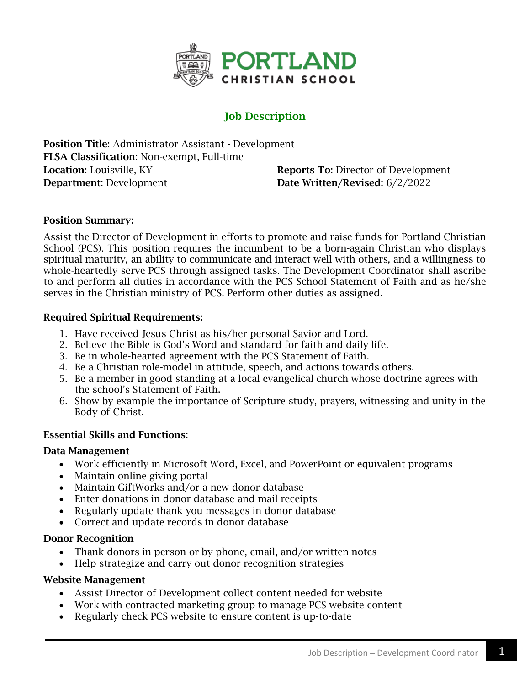

# Job Description

Position Title: Administrator Assistant - Development FLSA Classification: Non-exempt, Full-time Location: Louisville, KY Reports To: Director of Development Department: Development Date Written/Revised: 6/2/2022

## Position Summary:

Assist the Director of Development in efforts to promote and raise funds for Portland Christian School (PCS). This position requires the incumbent to be a born-again Christian who displays spiritual maturity, an ability to communicate and interact well with others, and a willingness to whole-heartedly serve PCS through assigned tasks. The Development Coordinator shall ascribe to and perform all duties in accordance with the PCS School Statement of Faith and as he/she serves in the Christian ministry of PCS. Perform other duties as assigned.

### Required Spiritual Requirements:

- 1. Have received Jesus Christ as his/her personal Savior and Lord.
- 2. Believe the Bible is God's Word and standard for faith and daily life.
- 3. Be in whole-hearted agreement with the PCS Statement of Faith.
- 4. Be a Christian role-model in attitude, speech, and actions towards others.
- 5. Be a member in good standing at a local evangelical church whose doctrine agrees with the school's Statement of Faith.
- 6. Show by example the importance of Scripture study, prayers, witnessing and unity in the Body of Christ.

## Essential Skills and Functions:

### Data Management

- Work efficiently in Microsoft Word, Excel, and PowerPoint or equivalent programs
- Maintain online giving portal
- Maintain GiftWorks and/or a new donor database
- Enter donations in donor database and mail receipts
- Regularly update thank you messages in donor database
- Correct and update records in donor database

### Donor Recognition

- Thank donors in person or by phone, email, and/or written notes
- Help strategize and carry out donor recognition strategies

### Website Management

- Assist Director of Development collect content needed for website
- Work with contracted marketing group to manage PCS website content
- Regularly check PCS website to ensure content is up-to-date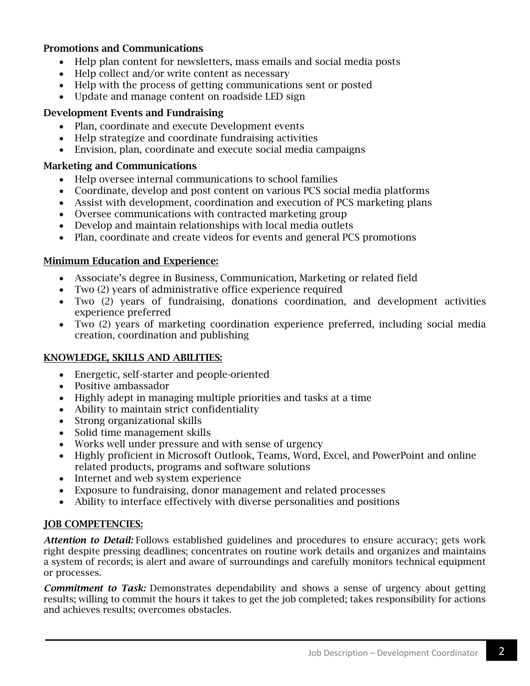## Promotions and Communications

- Help plan content for newsletters, mass emails and social media posts
- Help collect and/or write content as necessary
- Help with the process of getting communications sent or posted
- Update and manage content on roadside LED sign

## Development Events and Fundraising

- Plan, coordinate and execute Development events
- Help strategize and coordinate fundraising activities
- Envision, plan, coordinate and execute social media campaigns

## Marketing and Communications

- Help oversee internal communications to school families
- Coordinate, develop and post content on various PCS social media platforms
- Assist with development, coordination and execution of PCS marketing plans
- Oversee communications with contracted marketing group
- Develop and maintain relationships with local media outlets
- Plan, coordinate and create videos for events and general PCS promotions

## Minimum Education and Experience:

- Associate's degree in Business, Communication, Marketing or related field
- Two (2) years of administrative office experience required
- Two (2) years of fundraising, donations coordination, and development activities experience preferred
- Two (2) years of marketing coordination experience preferred, including social media creation, coordination and publishing

## KNOWLEDGE, SKILLS AND ABILITIES:

- Energetic, self-starter and people-oriented
- Positive ambassador
- Highly adept in managing multiple priorities and tasks at a time
- Ability to maintain strict confidentiality
- Strong organizational skills
- Solid time management skills
- Works well under pressure and with sense of urgency
- Highly proficient in Microsoft Outlook, Teams, Word, Excel, and PowerPoint and online related products, programs and software solutions
- Internet and web system experience
- Exposure to fundraising, donor management and related processes
- Ability to interface effectively with diverse personalities and positions

## JOB COMPETENCIES:

*Attention to Detail:* Follows established guidelines and procedures to ensure accuracy; gets work right despite pressing deadlines; concentrates on routine work details and organizes and maintains a system of records; is alert and aware of surroundings and carefully monitors technical equipment or processes.

*Commitment to Task:* Demonstrates dependability and shows a sense of urgency about getting results; willing to commit the hours it takes to get the job completed; takes responsibility for actions and achieves results; overcomes obstacles.